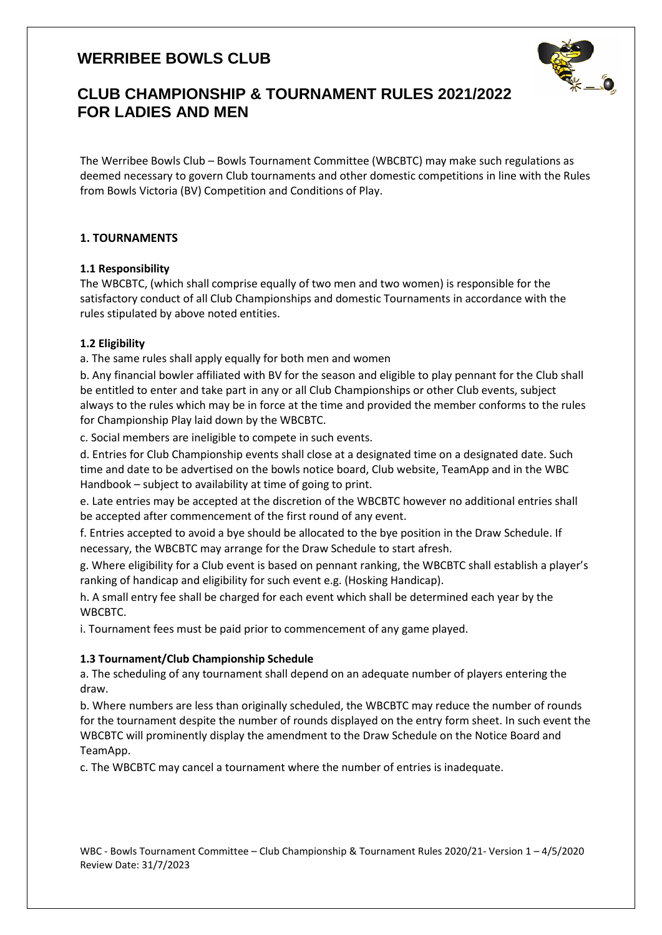

# **CLUB CHAMPIONSHIP & TOURNAMENT RULES 2021/2022 FOR LADIES AND MEN**

The Werribee Bowls Club – Bowls Tournament Committee (WBCBTC) may make such regulations as deemed necessary to govern Club tournaments and other domestic competitions in line with the Rules from Bowls Victoria (BV) Competition and Conditions of Play.

## **1. TOURNAMENTS**

## **1.1 Responsibility**

The WBCBTC, (which shall comprise equally of two men and two women) is responsible for the satisfactory conduct of all Club Championships and domestic Tournaments in accordance with the rules stipulated by above noted entities.

## **1.2 Eligibility**

a. The same rules shall apply equally for both men and women

b. Any financial bowler affiliated with BV for the season and eligible to play pennant for the Club shall be entitled to enter and take part in any or all Club Championships or other Club events, subject always to the rules which may be in force at the time and provided the member conforms to the rules for Championship Play laid down by the WBCBTC.

c. Social members are ineligible to compete in such events.

d. Entries for Club Championship events shall close at a designated time on a designated date. Such time and date to be advertised on the bowls notice board, Club website, TeamApp and in the WBC Handbook – subject to availability at time of going to print.

e. Late entries may be accepted at the discretion of the WBCBTC however no additional entries shall be accepted after commencement of the first round of any event.

f. Entries accepted to avoid a bye should be allocated to the bye position in the Draw Schedule. If necessary, the WBCBTC may arrange for the Draw Schedule to start afresh.

g. Where eligibility for a Club event is based on pennant ranking, the WBCBTC shall establish a player's ranking of handicap and eligibility for such event e.g. (Hosking Handicap).

h. A small entry fee shall be charged for each event which shall be determined each year by the WBCBTC.

i. Tournament fees must be paid prior to commencement of any game played.

## **1.3 Tournament/Club Championship Schedule**

a. The scheduling of any tournament shall depend on an adequate number of players entering the draw.

b. Where numbers are less than originally scheduled, the WBCBTC may reduce the number of rounds for the tournament despite the number of rounds displayed on the entry form sheet. In such event the WBCBTC will prominently display the amendment to the Draw Schedule on the Notice Board and TeamApp.

c. The WBCBTC may cancel a tournament where the number of entries is inadequate.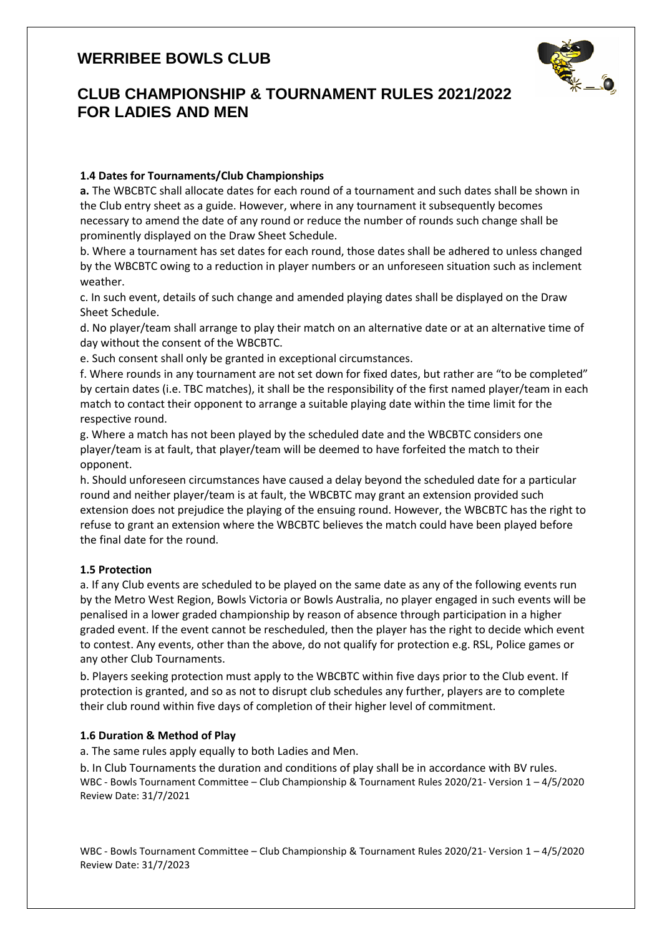

# **CLUB CHAMPIONSHIP & TOURNAMENT RULES 2021/2022 FOR LADIES AND MEN**

## **1.4 Dates for Tournaments/Club Championships**

**a.** The WBCBTC shall allocate dates for each round of a tournament and such dates shall be shown in the Club entry sheet as a guide. However, where in any tournament it subsequently becomes necessary to amend the date of any round or reduce the number of rounds such change shall be prominently displayed on the Draw Sheet Schedule.

b. Where a tournament has set dates for each round, those dates shall be adhered to unless changed by the WBCBTC owing to a reduction in player numbers or an unforeseen situation such as inclement weather.

c. In such event, details of such change and amended playing dates shall be displayed on the Draw Sheet Schedule.

d. No player/team shall arrange to play their match on an alternative date or at an alternative time of day without the consent of the WBCBTC.

e. Such consent shall only be granted in exceptional circumstances.

f. Where rounds in any tournament are not set down for fixed dates, but rather are "to be completed" by certain dates (i.e. TBC matches), it shall be the responsibility of the first named player/team in each match to contact their opponent to arrange a suitable playing date within the time limit for the respective round.

g. Where a match has not been played by the scheduled date and the WBCBTC considers one player/team is at fault, that player/team will be deemed to have forfeited the match to their opponent.

h. Should unforeseen circumstances have caused a delay beyond the scheduled date for a particular round and neither player/team is at fault, the WBCBTC may grant an extension provided such extension does not prejudice the playing of the ensuing round. However, the WBCBTC has the right to refuse to grant an extension where the WBCBTC believes the match could have been played before the final date for the round.

## **1.5 Protection**

a. If any Club events are scheduled to be played on the same date as any of the following events run by the Metro West Region, Bowls Victoria or Bowls Australia, no player engaged in such events will be penalised in a lower graded championship by reason of absence through participation in a higher graded event. If the event cannot be rescheduled, then the player has the right to decide which event to contest. Any events, other than the above, do not qualify for protection e.g. RSL, Police games or any other Club Tournaments.

b. Players seeking protection must apply to the WBCBTC within five days prior to the Club event. If protection is granted, and so as not to disrupt club schedules any further, players are to complete their club round within five days of completion of their higher level of commitment.

## **1.6 Duration & Method of Play**

a. The same rules apply equally to both Ladies and Men.

b. In Club Tournaments the duration and conditions of play shall be in accordance with BV rules. WBC - Bowls Tournament Committee – Club Championship & Tournament Rules 2020/21- Version 1 – 4/5/2020 Review Date: 31/7/2021

WBC - Bowls Tournament Committee – Club Championship & Tournament Rules 2020/21- Version 1 – 4/5/2020 Review Date: 31/7/2023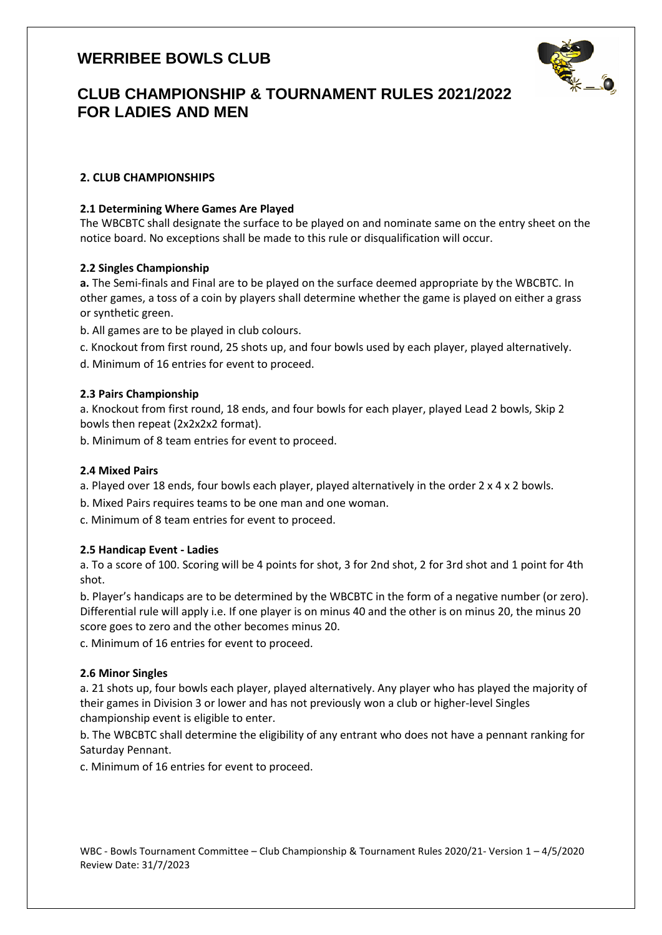

# **CLUB CHAMPIONSHIP & TOURNAMENT RULES 2021/2022 FOR LADIES AND MEN**

## **2. CLUB CHAMPIONSHIPS**

### **2.1 Determining Where Games Are Played**

The WBCBTC shall designate the surface to be played on and nominate same on the entry sheet on the notice board. No exceptions shall be made to this rule or disqualification will occur.

### **2.2 Singles Championship**

**a.** The Semi-finals and Final are to be played on the surface deemed appropriate by the WBCBTC. In other games, a toss of a coin by players shall determine whether the game is played on either a grass or synthetic green.

b. All games are to be played in club colours.

c. Knockout from first round, 25 shots up, and four bowls used by each player, played alternatively.

d. Minimum of 16 entries for event to proceed.

### **2.3 Pairs Championship**

a. Knockout from first round, 18 ends, and four bowls for each player, played Lead 2 bowls, Skip 2 bowls then repeat (2x2x2x2 format).

b. Minimum of 8 team entries for event to proceed.

#### **2.4 Mixed Pairs**

- a. Played over 18 ends, four bowls each player, played alternatively in the order 2 x 4 x 2 bowls.
- b. Mixed Pairs requires teams to be one man and one woman.

c. Minimum of 8 team entries for event to proceed.

#### **2.5 Handicap Event - Ladies**

a. To a score of 100. Scoring will be 4 points for shot, 3 for 2nd shot, 2 for 3rd shot and 1 point for 4th shot.

b. Player's handicaps are to be determined by the WBCBTC in the form of a negative number (or zero). Differential rule will apply i.e. If one player is on minus 40 and the other is on minus 20, the minus 20 score goes to zero and the other becomes minus 20.

c. Minimum of 16 entries for event to proceed.

#### **2.6 Minor Singles**

a. 21 shots up, four bowls each player, played alternatively. Any player who has played the majority of their games in Division 3 or lower and has not previously won a club or higher-level Singles championship event is eligible to enter.

b. The WBCBTC shall determine the eligibility of any entrant who does not have a pennant ranking for Saturday Pennant.

c. Minimum of 16 entries for event to proceed.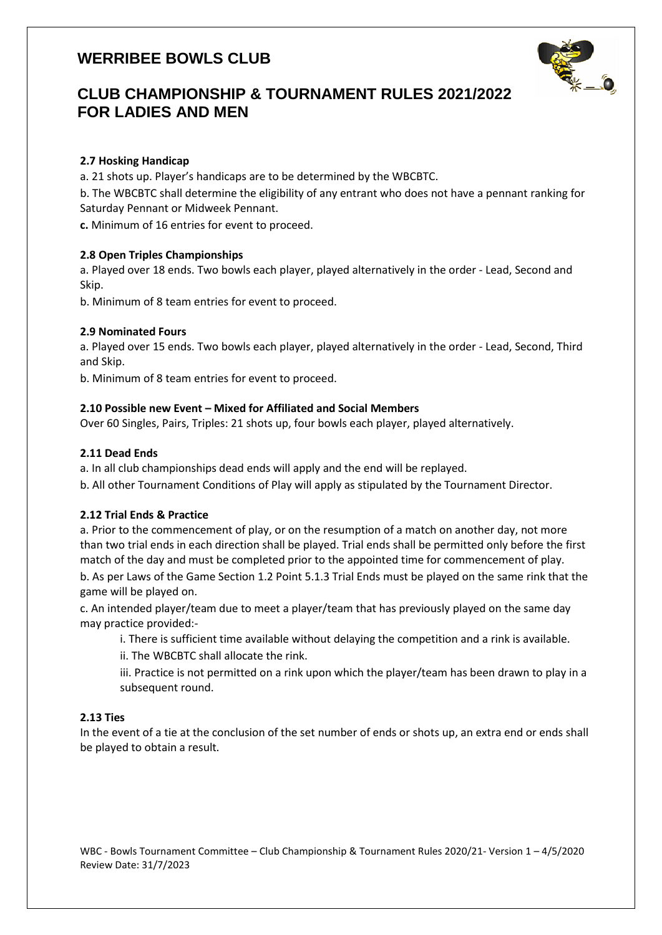

# **CLUB CHAMPIONSHIP & TOURNAMENT RULES 2021/2022 FOR LADIES AND MEN**

### **2.7 Hosking Handicap**

a. 21 shots up. Player's handicaps are to be determined by the WBCBTC.

b. The WBCBTC shall determine the eligibility of any entrant who does not have a pennant ranking for Saturday Pennant or Midweek Pennant.

**c.** Minimum of 16 entries for event to proceed.

### **2.8 Open Triples Championships**

a. Played over 18 ends. Two bowls each player, played alternatively in the order - Lead, Second and Skip.

b. Minimum of 8 team entries for event to proceed.

### **2.9 Nominated Fours**

a. Played over 15 ends. Two bowls each player, played alternatively in the order - Lead, Second, Third and Skip.

b. Minimum of 8 team entries for event to proceed.

#### **2.10 Possible new Event – Mixed for Affiliated and Social Members**

Over 60 Singles, Pairs, Triples: 21 shots up, four bowls each player, played alternatively.

### **2.11 Dead Ends**

a. In all club championships dead ends will apply and the end will be replayed.

b. All other Tournament Conditions of Play will apply as stipulated by the Tournament Director.

#### **2.12 Trial Ends & Practice**

a. Prior to the commencement of play, or on the resumption of a match on another day, not more than two trial ends in each direction shall be played. Trial ends shall be permitted only before the first match of the day and must be completed prior to the appointed time for commencement of play.

b. As per Laws of the Game Section 1.2 Point 5.1.3 Trial Ends must be played on the same rink that the game will be played on.

c. An intended player/team due to meet a player/team that has previously played on the same day may practice provided:-

i. There is sufficient time available without delaying the competition and a rink is available.

ii. The WBCBTC shall allocate the rink.

iii. Practice is not permitted on a rink upon which the player/team has been drawn to play in a subsequent round.

#### **2.13 Ties**

In the event of a tie at the conclusion of the set number of ends or shots up, an extra end or ends shall be played to obtain a result.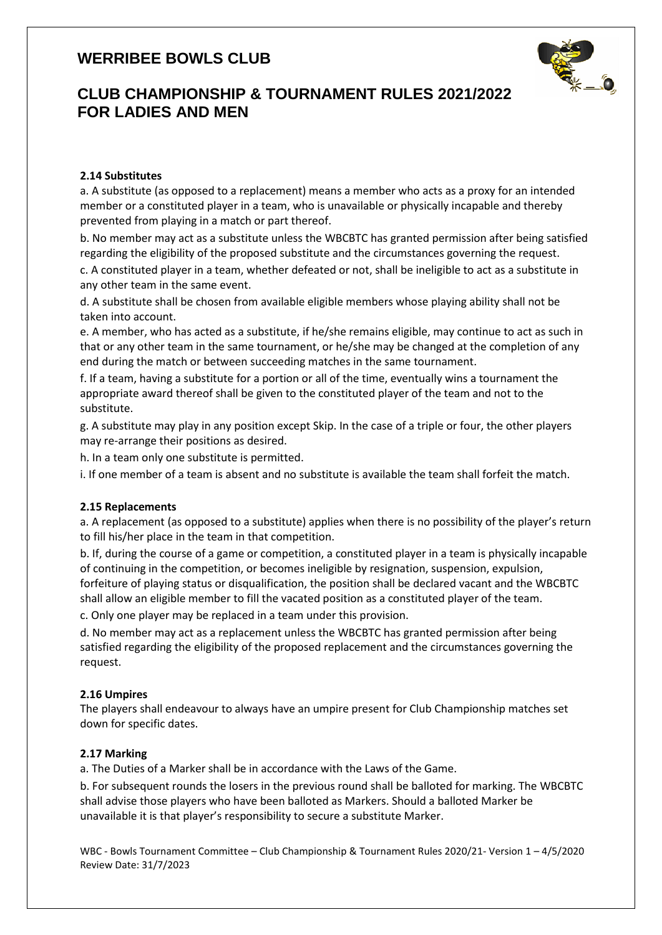

# **CLUB CHAMPIONSHIP & TOURNAMENT RULES 2021/2022 FOR LADIES AND MEN**

### **2.14 Substitutes**

a. A substitute (as opposed to a replacement) means a member who acts as a proxy for an intended member or a constituted player in a team, who is unavailable or physically incapable and thereby prevented from playing in a match or part thereof.

b. No member may act as a substitute unless the WBCBTC has granted permission after being satisfied regarding the eligibility of the proposed substitute and the circumstances governing the request.

c. A constituted player in a team, whether defeated or not, shall be ineligible to act as a substitute in any other team in the same event.

d. A substitute shall be chosen from available eligible members whose playing ability shall not be taken into account.

e. A member, who has acted as a substitute, if he/she remains eligible, may continue to act as such in that or any other team in the same tournament, or he/she may be changed at the completion of any end during the match or between succeeding matches in the same tournament.

f. If a team, having a substitute for a portion or all of the time, eventually wins a tournament the appropriate award thereof shall be given to the constituted player of the team and not to the substitute.

g. A substitute may play in any position except Skip. In the case of a triple or four, the other players may re-arrange their positions as desired.

h. In a team only one substitute is permitted.

i. If one member of a team is absent and no substitute is available the team shall forfeit the match.

#### **2.15 Replacements**

a. A replacement (as opposed to a substitute) applies when there is no possibility of the player's return to fill his/her place in the team in that competition.

b. If, during the course of a game or competition, a constituted player in a team is physically incapable of continuing in the competition, or becomes ineligible by resignation, suspension, expulsion, forfeiture of playing status or disqualification, the position shall be declared vacant and the WBCBTC shall allow an eligible member to fill the vacated position as a constituted player of the team.

c. Only one player may be replaced in a team under this provision.

d. No member may act as a replacement unless the WBCBTC has granted permission after being satisfied regarding the eligibility of the proposed replacement and the circumstances governing the request.

#### **2.16 Umpires**

The players shall endeavour to always have an umpire present for Club Championship matches set down for specific dates.

#### **2.17 Marking**

a. The Duties of a Marker shall be in accordance with the Laws of the Game.

b. For subsequent rounds the losers in the previous round shall be balloted for marking. The WBCBTC shall advise those players who have been balloted as Markers. Should a balloted Marker be unavailable it is that player's responsibility to secure a substitute Marker.

WBC - Bowls Tournament Committee – Club Championship & Tournament Rules 2020/21- Version 1 – 4/5/2020 Review Date: 31/7/2023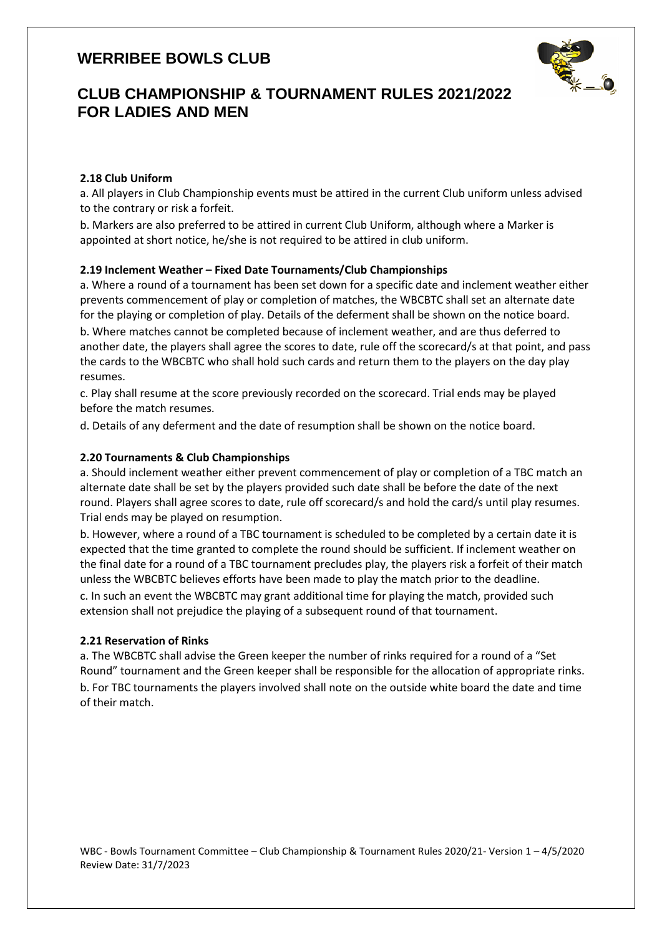

# **CLUB CHAMPIONSHIP & TOURNAMENT RULES 2021/2022 FOR LADIES AND MEN**

### **2.18 Club Uniform**

a. All players in Club Championship events must be attired in the current Club uniform unless advised to the contrary or risk a forfeit.

b. Markers are also preferred to be attired in current Club Uniform, although where a Marker is appointed at short notice, he/she is not required to be attired in club uniform.

### **2.19 Inclement Weather – Fixed Date Tournaments/Club Championships**

a. Where a round of a tournament has been set down for a specific date and inclement weather either prevents commencement of play or completion of matches, the WBCBTC shall set an alternate date for the playing or completion of play. Details of the deferment shall be shown on the notice board. b. Where matches cannot be completed because of inclement weather, and are thus deferred to another date, the players shall agree the scores to date, rule off the scorecard/s at that point, and pass the cards to the WBCBTC who shall hold such cards and return them to the players on the day play resumes.

c. Play shall resume at the score previously recorded on the scorecard. Trial ends may be played before the match resumes.

d. Details of any deferment and the date of resumption shall be shown on the notice board.

### **2.20 Tournaments & Club Championships**

a. Should inclement weather either prevent commencement of play or completion of a TBC match an alternate date shall be set by the players provided such date shall be before the date of the next round. Players shall agree scores to date, rule off scorecard/s and hold the card/s until play resumes. Trial ends may be played on resumption.

b. However, where a round of a TBC tournament is scheduled to be completed by a certain date it is expected that the time granted to complete the round should be sufficient. If inclement weather on the final date for a round of a TBC tournament precludes play, the players risk a forfeit of their match unless the WBCBTC believes efforts have been made to play the match prior to the deadline.

c. In such an event the WBCBTC may grant additional time for playing the match, provided such extension shall not prejudice the playing of a subsequent round of that tournament.

#### **2.21 Reservation of Rinks**

a. The WBCBTC shall advise the Green keeper the number of rinks required for a round of a "Set Round" tournament and the Green keeper shall be responsible for the allocation of appropriate rinks. b. For TBC tournaments the players involved shall note on the outside white board the date and time of their match.